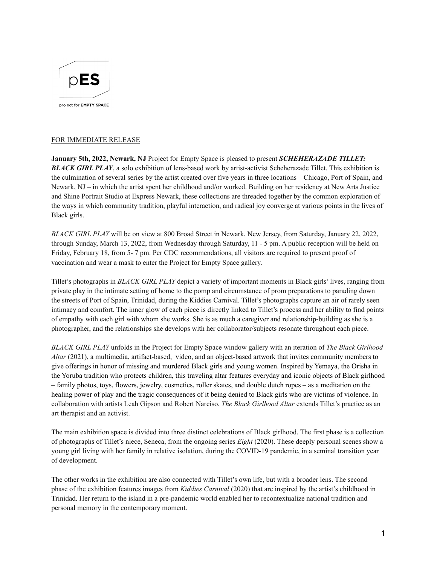

## FOR IMMEDIATE RELEASE

**January 5th, 2022, Newark, NJ** Project for Empty Space is pleased to present *SCHEHERAZADE TILLET: BLACK GIRL PLAY*, a solo exhibition of lens-based work by artist-activist Scheherazade Tillet. This exhibition is the culmination of several series by the artist created over five years in three locations – Chicago, Port of Spain, and Newark, NJ – in which the artist spent her childhood and/or worked. Building on her residency at New Arts Justice and Shine Portrait Studio at Express Newark, these collections are threaded together by the common exploration of the ways in which community tradition, playful interaction, and radical joy converge at various points in the lives of Black girls.

*BLACK GIRL PLAY* will be on view at 800 Broad Street in Newark, New Jersey, from Saturday, January 22, 2022, through Sunday, March 13, 2022, from Wednesday through Saturday, 11 - 5 pm. A public reception will be held on Friday, February 18, from 5- 7 pm. Per CDC recommendations, all visitors are required to present proof of vaccination and wear a mask to enter the Project for Empty Space gallery.

Tillet's photographs in *BLACK GIRL PLAY* depict a variety of important moments in Black girls' lives, ranging from private play in the intimate setting of home to the pomp and circumstance of prom preparations to parading down the streets of Port of Spain, Trinidad, during the Kiddies Carnival. Tillet's photographs capture an air of rarely seen intimacy and comfort. The inner glow of each piece is directly linked to Tillet's process and her ability to find points of empathy with each girl with whom she works. She is as much a caregiver and relationship-building as she is a photographer, and the relationships she develops with her collaborator/subjects resonate throughout each piece.

*BLACK GIRL PLAY* unfolds in the Project for Empty Space window gallery with an iteration of *The Black Girlhood Altar* (2021), a multimedia, artifact-based, video, and an object-based artwork that invites community members to give offerings in honor of missing and murdered Black girls and young women. Inspired by Yemaya, the Orisha in the Yoruba tradition who protects children, this traveling altar features everyday and iconic objects of Black girlhood – family photos, toys, flowers, jewelry, cosmetics, roller skates, and double dutch ropes – as a meditation on the healing power of play and the tragic consequences of it being denied to Black girls who are victims of violence. In collaboration with artists Leah Gipson and Robert Narciso, *The Black Girlhood Altar* extends Tillet's practice as an art therapist and an activist.

The main exhibition space is divided into three distinct celebrations of Black girlhood. The first phase is a collection of photographs of Tillet's niece, Seneca, from the ongoing series *Eight* (2020). These deeply personal scenes show a young girl living with her family in relative isolation, during the COVID-19 pandemic, in a seminal transition year of development.

The other works in the exhibition are also connected with Tillet's own life, but with a broader lens. The second phase of the exhibition features images from *Kiddies Carnival* (2020) that are inspired by the artist's childhood in Trinidad. Her return to the island in a pre-pandemic world enabled her to recontextualize national tradition and personal memory in the contemporary moment.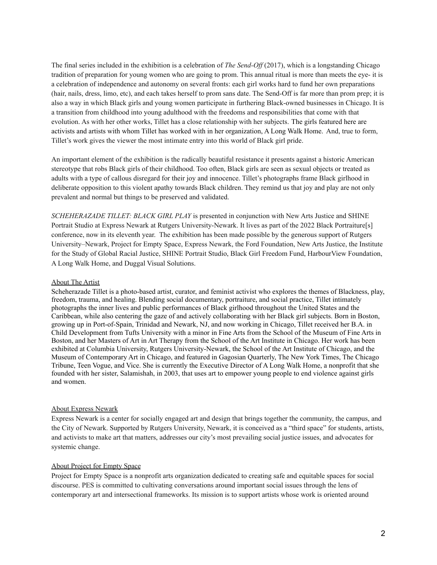The final series included in the exhibition is a celebration of *The Send-Of* (2017), which is a longstanding Chicago tradition of preparation for young women who are going to prom. This annual ritual is more than meets the eye- it is a celebration of independence and autonomy on several fronts: each girl works hard to fund her own preparations (hair, nails, dress, limo, etc), and each takes herself to prom sans date. The Send-Off is far more than prom prep; it is also a way in which Black girls and young women participate in furthering Black-owned businesses in Chicago. It is a transition from childhood into young adulthood with the freedoms and responsibilities that come with that evolution. As with her other works, Tillet has a close relationship with her subjects. The girls featured here are activists and artists with whom Tillet has worked with in her organization, A Long Walk Home. And, true to form, Tillet's work gives the viewer the most intimate entry into this world of Black girl pride.

An important element of the exhibition is the radically beautiful resistance it presents against a historic American stereotype that robs Black girls of their childhood. Too often, Black girls are seen as sexual objects or treated as adults with a type of callous disregard for their joy and innocence. Tillet's photographs frame Black girlhood in deliberate opposition to this violent apathy towards Black children. They remind us that joy and play are not only prevalent and normal but things to be preserved and validated.

*SCHEHERAZADE TILLET: BLACK GIRL PLAY* is presented in conjunction with New Arts Justice and SHINE Portrait Studio at Express Newark at Rutgers University-Newark. It lives as part of the 2022 Black Portraiture[s] conference, now in its eleventh year. The exhibition has been made possible by the generous support of Rutgers University–Newark, Project for Empty Space, Express Newark, the Ford Foundation, New Arts Justice, the Institute for the Study of Global Racial Justice, SHINE Portrait Studio, Black Girl Freedom Fund, HarbourView Foundation, A Long Walk Home, and Duggal Visual Solutions.

## About The Artist

Scheherazade Tillet is a photo-based artist, curator, and feminist activist who explores the themes of Blackness, play, freedom, trauma, and healing. Blending social documentary, portraiture, and social practice, Tillet intimately photographs the inner lives and public performances of Black girlhood throughout the United States and the Caribbean, while also centering the gaze of and actively collaborating with her Black girl subjects. Born in Boston, growing up in Port-of-Spain, Trinidad and Newark, NJ, and now working in Chicago, Tillet received her B.A. in Child Development from Tufts University with a minor in Fine Arts from the School of the Museum of Fine Arts in Boston, and her Masters of Art in Art Therapy from the School of the Art Institute in Chicago. Her work has been exhibited at Columbia University, Rutgers University-Newark, the School of the Art Institute of Chicago, and the Museum of Contemporary Art in Chicago, and featured in Gagosian Quarterly, The New York Times, The Chicago Tribune, Teen Vogue, and Vice. She is currently the Executive Director of A Long Walk Home, a nonprofit that she founded with her sister, Salamishah, in 2003, that uses art to empower young people to end violence against girls and women.

#### About Express Newark

Express Newark is a center for socially engaged art and design that brings together the community, the campus, and the City of Newark. Supported by Rutgers University, Newark, it is conceived as a "third space" for students, artists, and activists to make art that matters, addresses our city's most prevailing social justice issues, and advocates for systemic change.

### About Project for Empty Space

Project for Empty Space is a nonprofit arts organization dedicated to creating safe and equitable spaces for social discourse. PES is committed to cultivating conversations around important social issues through the lens of contemporary art and intersectional frameworks. Its mission is to support artists whose work is oriented around